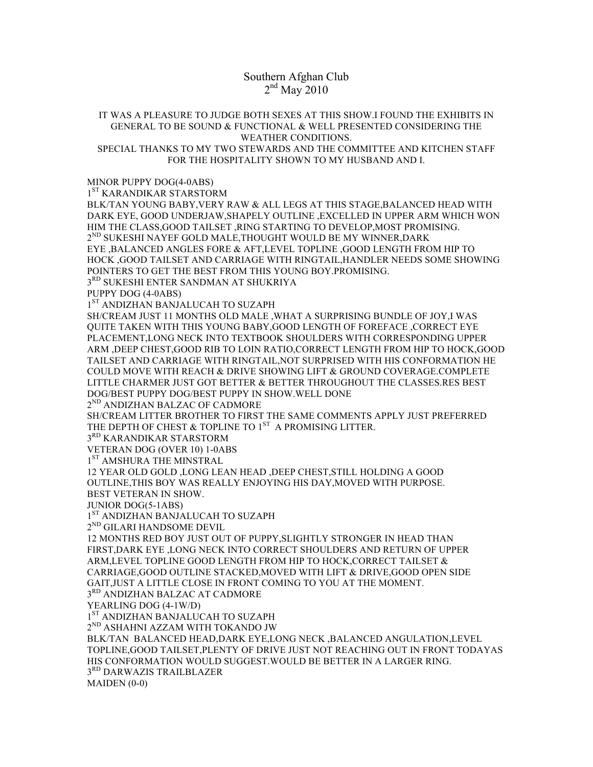## Southern Afghan Club  $2<sup>nd</sup>$  May 2010

## IT WAS A PLEASURE TO JUDGE BOTH SEXES AT THIS SHOW.I FOUND THE EXHIBITS IN GENERAL TO BE SOUND & FUNCTIONAL & WELL PRESENTED CONSIDERING THE WEATHER CONDITIONS. SPECIAL THANKS TO MY TWO STEWARDS AND THE COMMITTEE AND KITCHEN STAFF FOR THE HOSPITALITY SHOWN TO MY HUSBAND AND I.

MINOR PUPPY DOG(4-0ABS)

1<sup>ST</sup> KARANDIKAR STARSTORM

BLK/TAN YOUNG BABY,VERY RAW & ALL LEGS AT THIS STAGE,BALANCED HEAD WITH DARK EYE, GOOD UNDERJAW,SHAPELY OUTLINE ,EXCELLED IN UPPER ARM WHICH WON HIM THE CLASS,GOOD TAILSET ,RING STARTING TO DEVELOP,MOST PROMISING.  $2^{ND}$  SUKESHI NAYEF GOLD MALE.THOUGHT WOULD BE MY WINNER.DARK EYE ,BALANCED ANGLES FORE & AFT,LEVEL TOPLINE ,GOOD LENGTH FROM HIP TO HOCK ,GOOD TAILSET AND CARRIAGE WITH RINGTAIL,HANDLER NEEDS SOME SHOWING

POINTERS TO GET THE BEST FROM THIS YOUNG BOY.PROMISING.

3RD SUKESHI ENTER SANDMAN AT SHUKRIYA

PUPPY DOG (4-0ABS)

1<sup>ST</sup> ANDIZHAN BANJALUCAH TO SUZAPH

SH/CREAM JUST 11 MONTHS OLD MALE ,WHAT A SURPRISING BUNDLE OF JOY,I WAS QUITE TAKEN WITH THIS YOUNG BABY,GOOD LENGTH OF FOREFACE ,CORRECT EYE PLACEMENT,LONG NECK INTO TEXTBOOK SHOULDERS WITH CORRESPONDING UPPER ARM ,DEEP CHEST,GOOD RIB TO LOIN RATIO,CORRECT LENGTH FROM HIP TO HOCK,GOOD TAILSET AND CARRIAGE WITH RINGTAIL,NOT SURPRISED WITH HIS CONFORMATION HE COULD MOVE WITH REACH & DRIVE SHOWING LIFT & GROUND COVERAGE.COMPLETE LITTLE CHARMER JUST GOT BETTER & BETTER THROUGHOUT THE CLASSES.RES BEST DOG/BEST PUPPY DOG/BEST PUPPY IN SHOW.WELL DONE

2<sup>ND</sup> ANDIZHAN BALZAC OF CADMORE

SH/CREAM LITTER BROTHER TO FIRST THE SAME COMMENTS APPLY JUST PREFERRED THE DEPTH OF CHEST  $\&$  TOPLINE TO  $1^{ST}$  A PROMISING LITTER.

3<sup>RD</sup> KARANDIKAR STARSTORM

VETERAN DOG (OVER 10) 1-0ABS

1<sup>ST</sup> AMSHURA THE MINSTRAL

12 YEAR OLD GOLD ,LONG LEAN HEAD ,DEEP CHEST,STILL HOLDING A GOOD OUTLINE,THIS BOY WAS REALLY ENJOYING HIS DAY,MOVED WITH PURPOSE.

BEST VETERAN IN SHOW.

JUNIOR DOG(5-1ABS)

1<sup>ST</sup> ANDIZHAN BANJALUCAH TO SUZAPH

 $2^{\rm ND}$ GILARI HANDSOME DEVIL

12 MONTHS RED BOY JUST OUT OF PUPPY,SLIGHTLY STRONGER IN HEAD THAN FIRST,DARK EYE ,LONG NECK INTO CORRECT SHOULDERS AND RETURN OF UPPER ARM,LEVEL TOPLINE GOOD LENGTH FROM HIP TO HOCK,CORRECT TAILSET & CARRIAGE,GOOD OUTLINE STACKED,MOVED WITH LIFT & DRIVE,GOOD OPEN SIDE GAIT,JUST A LITTLE CLOSE IN FRONT COMING TO YOU AT THE MOMENT.

3RD ANDIZHAN BALZAC AT CADMORE

YEARLING DOG (4-1W/D)

1ST ANDIZHAN BANJALUCAH TO SUZAPH

2ND ASHAHNI AZZAM WITH TOKANDO JW

BLK/TAN BALANCED HEAD,DARK EYE,LONG NECK ,BALANCED ANGULATION,LEVEL TOPLINE,GOOD TAILSET,PLENTY OF DRIVE JUST NOT REACHING OUT IN FRONT TODAYAS HIS CONFORMATION WOULD SUGGEST.WOULD BE BETTER IN A LARGER RING. 3RD DARWAZIS TRAILBLAZER MAIDEN (0-0)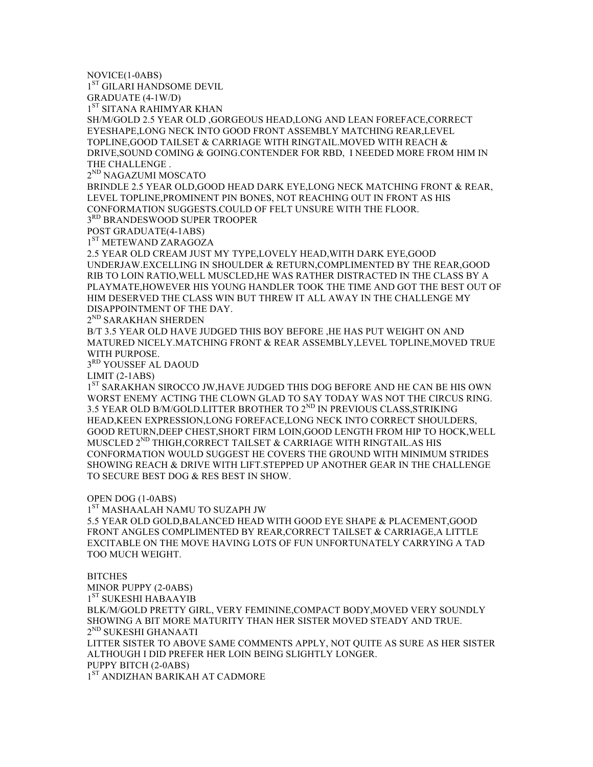NOVICE(1-0ABS)

 $1<sup>ST</sup>$  GILARI HANDSOME DEVIL

GRADUATE (4-1W/D)

1<sup>ST</sup> SITANA RAHIMYAR KHAN

SH/M/GOLD 2.5 YEAR OLD ,GORGEOUS HEAD,LONG AND LEAN FOREFACE,CORRECT EYESHAPE,LONG NECK INTO GOOD FRONT ASSEMBLY MATCHING REAR,LEVEL TOPLINE,GOOD TAILSET & CARRIAGE WITH RINGTAIL.MOVED WITH REACH & DRIVE,SOUND COMING & GOING.CONTENDER FOR RBD, I NEEDED MORE FROM HIM IN THE CHALLENGE .

2<sup>ND</sup> NAGAZUMI MOSCATO

BRINDLE 2.5 YEAR OLD,GOOD HEAD DARK EYE,LONG NECK MATCHING FRONT & REAR, LEVEL TOPLINE,PROMINENT PIN BONES, NOT REACHING OUT IN FRONT AS HIS CONFORMATION SUGGESTS.COULD OF FELT UNSURE WITH THE FLOOR.

3RD BRANDESWOOD SUPER TROOPER

POST GRADUATE(4-1ABS)

1<sup>ST</sup> METEWAND ZARAGOZA

2.5 YEAR OLD CREAM JUST MY TYPE,LOVELY HEAD,WITH DARK EYE,GOOD UNDERJAW.EXCELLING IN SHOULDER & RETURN,COMPLIMENTED BY THE REAR,GOOD RIB TO LOIN RATIO,WELL MUSCLED,HE WAS RATHER DISTRACTED IN THE CLASS BY A PLAYMATE,HOWEVER HIS YOUNG HANDLER TOOK THE TIME AND GOT THE BEST OUT OF HIM DESERVED THE CLASS WIN BUT THREW IT ALL AWAY IN THE CHALLENGE MY DISAPPOINTMENT OF THE DAY.

2<sup>ND</sup> SARAKHAN SHERDEN

B/T 3.5 YEAR OLD HAVE JUDGED THIS BOY BEFORE ,HE HAS PUT WEIGHT ON AND MATURED NICELY.MATCHING FRONT & REAR ASSEMBLY,LEVEL TOPLINE,MOVED TRUE WITH PURPOSE.

3<sup>RD</sup> YOUSSEF AL DAOUD

LIMIT (2-1ABS)

1<sup>ST</sup> SARAKHAN SIROCCO JW, HAVE JUDGED THIS DOG BEFORE AND HE CAN BE HIS OWN WORST ENEMY ACTING THE CLOWN GLAD TO SAY TODAY WAS NOT THE CIRCUS RING. 3.5 YEAR OLD B/M/GOLD.LITTER BROTHER TO 2<sup>ND</sup> IN PREVIOUS CLASS, STRIKING HEAD,KEEN EXPRESSION,LONG FOREFACE,LONG NECK INTO CORRECT SHOULDERS, GOOD RETURN,DEEP CHEST,SHORT FIRM LOIN,GOOD LENGTH FROM HIP TO HOCK,WELL MUSCLED 2<sup>ND</sup> THIGH, CORRECT TAILSET & CARRIAGE WITH RINGTAIL. AS HIS CONFORMATION WOULD SUGGEST HE COVERS THE GROUND WITH MINIMUM STRIDES SHOWING REACH & DRIVE WITH LIFT.STEPPED UP ANOTHER GEAR IN THE CHALLENGE TO SECURE BEST DOG & RES BEST IN SHOW.

## OPEN DOG (1-0ABS)

1<sup>ST</sup> MASHAALAH NAMU TO SUZAPH JW

5.5 YEAR OLD GOLD,BALANCED HEAD WITH GOOD EYE SHAPE & PLACEMENT,GOOD FRONT ANGLES COMPLIMENTED BY REAR,CORRECT TAILSET & CARRIAGE,A LITTLE EXCITABLE ON THE MOVE HAVING LOTS OF FUN UNFORTUNATELY CARRYING A TAD TOO MUCH WEIGHT.

**BITCHES** MINOR PUPPY (2-0ABS) 1<sup>ST</sup> SUKESHI HABAAYIB BLK/M/GOLD PRETTY GIRL, VERY FEMININE,COMPACT BODY,MOVED VERY SOUNDLY SHOWING A BIT MORE MATURITY THAN HER SISTER MOVED STEADY AND TRUE. 2<sup>ND</sup> SUKESHI GHANAATI LITTER SISTER TO ABOVE SAME COMMENTS APPLY, NOT QUITE AS SURE AS HER SISTER ALTHOUGH I DID PREFER HER LOIN BEING SLIGHTLY LONGER. PUPPY BITCH (2-0ABS) 1<sup>ST</sup> ANDIZHAN BARIKAH AT CADMORE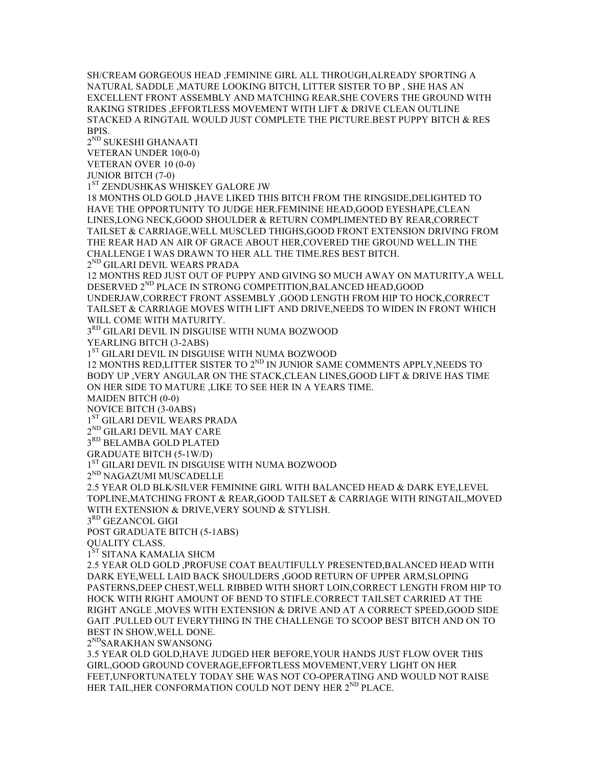SH/CREAM GORGEOUS HEAD ,FEMININE GIRL ALL THROUGH,ALREADY SPORTING A NATURAL SADDLE ,MATURE LOOKING BITCH, LITTER SISTER TO BP , SHE HAS AN EXCELLENT FRONT ASSEMBLY AND MATCHING REAR,SHE COVERS THE GROUND WITH RAKING STRIDES ,EFFORTLESS MOVEMENT WITH LIFT & DRIVE CLEAN OUTLINE STACKED A RINGTAIL WOULD JUST COMPLETE THE PICTURE.BEST PUPPY BITCH & RES BPIS.

2ND SUKESHI GHANAATI VETERAN UNDER 10(0-0) VETERAN OVER 10 (0-0)

JUNIOR BITCH (7-0)

1<sup>ST</sup> ZENDUSHKAS WHISKEY GALORE JW

18 MONTHS OLD GOLD ,HAVE LIKED THIS BITCH FROM THE RINGSIDE,DELIGHTED TO HAVE THE OPPORTUNITY TO JUDGE HER.FEMININE HEAD,GOOD EYESHAPE,CLEAN LINES,LONG NECK,GOOD SHOULDER & RETURN COMPLIMENTED BY REAR,CORRECT TAILSET & CARRIAGE,WELL MUSCLED THIGHS,GOOD FRONT EXTENSION DRIVING FROM THE REAR HAD AN AIR OF GRACE ABOUT HER,COVERED THE GROUND WELL.IN THE CHALLENGE I WAS DRAWN TO HER ALL THE TIME.RES BEST BITCH.

 $2^{ND}$  GILARI DEVIL WEARS PRADA

12 MONTHS RED JUST OUT OF PUPPY AND GIVING SO MUCH AWAY ON MATURITY,A WELL DESERVED 2<sup>ND</sup> PLACE IN STRONG COMPETITION, BALANCED HEAD, GOOD

UNDERJAW,CORRECT FRONT ASSEMBLY ,GOOD LENGTH FROM HIP TO HOCK,CORRECT TAILSET & CARRIAGE MOVES WITH LIFT AND DRIVE,NEEDS TO WIDEN IN FRONT WHICH WILL COME WITH MATURITY.

3RD GILARI DEVIL IN DISGUISE WITH NUMA BOZWOOD

YEARLING BITCH (3-2ABS)

1ST GILARI DEVIL IN DISGUISE WITH NUMA BOZWOOD

12 MONTHS RED, LITTER SISTER TO 2<sup>ND</sup> IN JUNIOR SAME COMMENTS APPLY, NEEDS TO BODY UP ,VERY ANGULAR ON THE STACK,CLEAN LINES,GOOD LIFT & DRIVE HAS TIME ON HER SIDE TO MATURE ,LIKE TO SEE HER IN A YEARS TIME.

MAIDEN BITCH (0-0)

NOVICE BITCH (3-0ABS)

1<sup>ST</sup> GILARI DEVIL WEARS PRADA

 $2^{\rm ND}$  GILARI DEVIL MAY CARE

3RD BELAMBA GOLD PLATED

GRADUATE BITCH (5-1W/D)

1ST GILARI DEVIL IN DISGUISE WITH NUMA BOZWOOD

2<sup>ND</sup> NAGAZUMI MUSCADELLE

2.5 YEAR OLD BLK/SILVER FEMININE GIRL WITH BALANCED HEAD & DARK EYE,LEVEL TOPLINE,MATCHING FRONT & REAR,GOOD TAILSET & CARRIAGE WITH RINGTAIL,MOVED WITH EXTENSION & DRIVE,VERY SOUND & STYLISH.

3RD GEZANCOL GIGI

POST GRADUATE BITCH (5-1ABS)

QUALITY CLASS.

1<sup>ST</sup> SITANA KAMALIA SHCM

2.5 YEAR OLD GOLD ,PROFUSE COAT BEAUTIFULLY PRESENTED,BALANCED HEAD WITH DARK EYE,WELL LAID BACK SHOULDERS ,GOOD RETURN OF UPPER ARM,SLOPING PASTERNS,DEEP CHEST,WELL RIBBED WITH SHORT LOIN,CORRECT LENGTH FROM HIP TO HOCK WITH RIGHT AMOUNT OF BEND TO STIFLE.CORRECT TAILSET CARRIED AT THE RIGHT ANGLE ,MOVES WITH EXTENSION & DRIVE AND AT A CORRECT SPEED,GOOD SIDE GAIT .PULLED OUT EVERYTHING IN THE CHALLENGE TO SCOOP BEST BITCH AND ON TO BEST IN SHOW,WELL DONE.

2<sup>ND</sup>SARAKHAN SWANSONG

3.5 YEAR OLD GOLD,HAVE JUDGED HER BEFORE,YOUR HANDS JUST FLOW OVER THIS GIRL,GOOD GROUND COVERAGE,EFFORTLESS MOVEMENT,VERY LIGHT ON HER FEET,UNFORTUNATELY TODAY SHE WAS NOT CO-OPERATING AND WOULD NOT RAISE HER TAIL, HER CONFORMATION COULD NOT DENY HER 2<sup>ND</sup> PLACE.